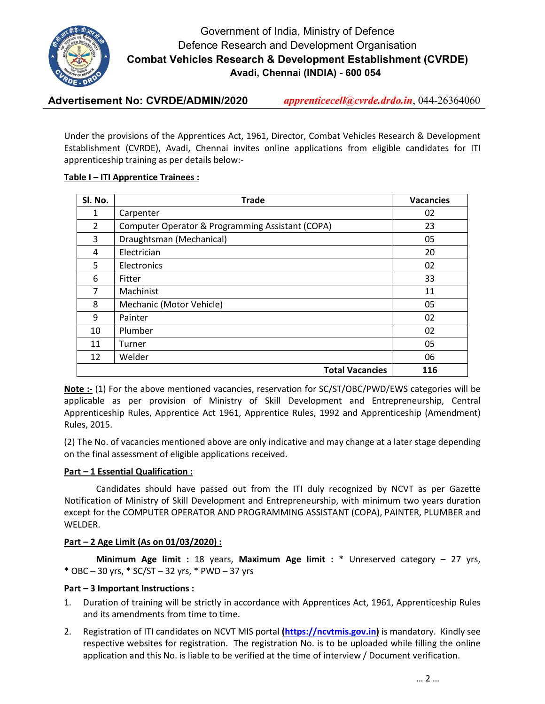

# Government of India, Ministry of Defence Defence Research and Development Organisation Combat Vehicles Research & Development Establishment (CVRDE) Avadi, Chennai (INDIA) - 600 054

Advertisement No: CVRDE/ADMIN/2020 *apprenticecell@cvrde.drdo.in*, 044-26364060

Under the provisions of the Apprentices Act, 1961, Director, Combat Vehicles Research & Development Establishment (CVRDE), Avadi, Chennai invites online applications from eligible candidates for ITI apprenticeship training as per details below:-

## Table I – ITI Apprentice Trainees :

| SI. No.        | <b>Trade</b>                                     | <b>Vacancies</b> |
|----------------|--------------------------------------------------|------------------|
| 1              | Carpenter                                        | 02               |
| $\overline{2}$ | Computer Operator & Programming Assistant (COPA) | 23               |
| 3              | Draughtsman (Mechanical)                         | 05               |
| 4              | Electrician                                      | 20               |
| 5              | Electronics                                      | 02               |
| 6              | Fitter                                           | 33               |
| 7              | Machinist                                        | 11               |
| 8              | Mechanic (Motor Vehicle)                         | 05               |
| 9              | Painter                                          | 02               |
| 10             | Plumber                                          | 02               |
| 11             | Turner                                           | 05               |
| 12             | Welder                                           | 06               |
|                | <b>Total Vacancies</b>                           | 116              |

Note :- (1) For the above mentioned vacancies, reservation for SC/ST/OBC/PWD/EWS categories will be applicable as per provision of Ministry of Skill Development and Entrepreneurship, Central Apprenticeship Rules, Apprentice Act 1961, Apprentice Rules, 1992 and Apprenticeship (Amendment) Rules, 2015.

(2) The No. of vacancies mentioned above are only indicative and may change at a later stage depending on the final assessment of eligible applications received.

## Part – 1 Essential Qualification :

Candidates should have passed out from the ITI duly recognized by NCVT as per Gazette Notification of Ministry of Skill Development and Entrepreneurship, with minimum two years duration except for the COMPUTER OPERATOR AND PROGRAMMING ASSISTANT (COPA), PAINTER, PLUMBER and WELDER.

## Part – 2 Age Limit (As on 01/03/2020) :

Minimum Age limit : 18 years, Maximum Age limit : \* Unreserved category – 27 yrs, \* OBC – 30 yrs, \* SC/ST – 32 yrs, \* PWD – 37 yrs

## Part – 3 Important Instructions :

- 1. Duration of training will be strictly in accordance with Apprentices Act, 1961, Apprenticeship Rules and its amendments from time to time.
- 2. Registration of ITI candidates on NCVT MIS portal *(https://ncvtmis.gov.in)* is mandatory. Kindly see respective websites for registration. The registration No. is to be uploaded while filling the online application and this No. is liable to be verified at the time of interview / Document verification.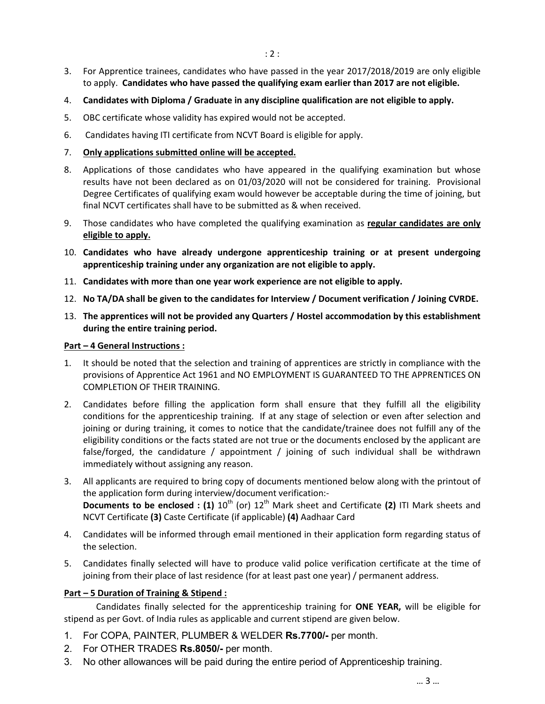- 3. For Apprentice trainees, candidates who have passed in the year 2017/2018/2019 are only eligible to apply. Candidates who have passed the qualifying exam earlier than 2017 are not eligible.
- 4. Candidates with Diploma / Graduate in any discipline qualification are not eligible to apply.
- 5. OBC certificate whose validity has expired would not be accepted.
- 6. Candidates having ITI certificate from NCVT Board is eligible for apply.
- 7. Only applications submitted online will be accepted.
- 8. Applications of those candidates who have appeared in the qualifying examination but whose results have not been declared as on 01/03/2020 will not be considered for training. Provisional Degree Certificates of qualifying exam would however be acceptable during the time of joining, but final NCVT certificates shall have to be submitted as & when received.
- 9. Those candidates who have completed the qualifying examination as regular candidates are only eligible to apply.
- 10. Candidates who have already undergone apprenticeship training or at present undergoing apprenticeship training under any organization are not eligible to apply.
- 11. Candidates with more than one year work experience are not eligible to apply.
- 12. No TA/DA shall be given to the candidates for Interview / Document verification / Joining CVRDE.
- 13. The apprentices will not be provided any Quarters / Hostel accommodation by this establishment during the entire training period.

#### Part – 4 General Instructions :

- 1. It should be noted that the selection and training of apprentices are strictly in compliance with the provisions of Apprentice Act 1961 and NO EMPLOYMENT IS GUARANTEED TO THE APPRENTICES ON COMPLETION OF THEIR TRAINING.
- 2. Candidates before filling the application form shall ensure that they fulfill all the eligibility conditions for the apprenticeship training. If at any stage of selection or even after selection and joining or during training, it comes to notice that the candidate/trainee does not fulfill any of the eligibility conditions or the facts stated are not true or the documents enclosed by the applicant are false/forged, the candidature / appointment / joining of such individual shall be withdrawn immediately without assigning any reason.
- 3. All applicants are required to bring copy of documents mentioned below along with the printout of the application form during interview/document verification:- Documents to be enclosed : (1)  $10^{th}$  (or)  $12^{th}$  Mark sheet and Certificate (2) ITI Mark sheets and NCVT Certificate (3) Caste Certificate (if applicable) (4) Aadhaar Card
- 4. Candidates will be informed through email mentioned in their application form regarding status of the selection.
- 5. Candidates finally selected will have to produce valid police verification certificate at the time of joining from their place of last residence (for at least past one year) / permanent address.

### Part – 5 Duration of Training & Stipend :

Candidates finally selected for the apprenticeship training for ONE YEAR, will be eligible for stipend as per Govt. of India rules as applicable and current stipend are given below.

- 1. For COPA, PAINTER, PLUMBER & WELDER Rs.7700/- per month.
- 2. For OTHER TRADES Rs.8050/- per month.
- 3. No other allowances will be paid during the entire period of Apprenticeship training.